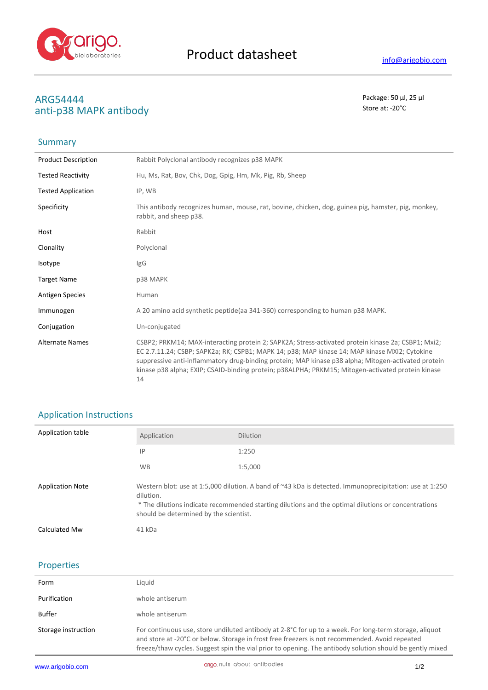

## **ARG54444** Package: 50 μl, 25 μl<br>
anti-n38 MADK antihody anti-p38 MAPK antibody

# Summary

| <b>Product Description</b> | Rabbit Polyclonal antibody recognizes p38 MAPK                                                                                                                                                                                                                                                                                                                                                                        |
|----------------------------|-----------------------------------------------------------------------------------------------------------------------------------------------------------------------------------------------------------------------------------------------------------------------------------------------------------------------------------------------------------------------------------------------------------------------|
| <b>Tested Reactivity</b>   | Hu, Ms, Rat, Bov, Chk, Dog, Gpig, Hm, Mk, Pig, Rb, Sheep                                                                                                                                                                                                                                                                                                                                                              |
| <b>Tested Application</b>  | IP, WB                                                                                                                                                                                                                                                                                                                                                                                                                |
| Specificity                | This antibody recognizes human, mouse, rat, bovine, chicken, dog, guinea pig, hamster, pig, monkey,<br>rabbit, and sheep p38.                                                                                                                                                                                                                                                                                         |
| Host                       | Rabbit                                                                                                                                                                                                                                                                                                                                                                                                                |
| Clonality                  | Polyclonal                                                                                                                                                                                                                                                                                                                                                                                                            |
| Isotype                    | IgG                                                                                                                                                                                                                                                                                                                                                                                                                   |
| <b>Target Name</b>         | p38 MAPK                                                                                                                                                                                                                                                                                                                                                                                                              |
| <b>Antigen Species</b>     | Human                                                                                                                                                                                                                                                                                                                                                                                                                 |
| Immunogen                  | A 20 amino acid synthetic peptide (aa 341-360) corresponding to human p38 MAPK.                                                                                                                                                                                                                                                                                                                                       |
| Conjugation                | Un-conjugated                                                                                                                                                                                                                                                                                                                                                                                                         |
| <b>Alternate Names</b>     | CSBP2; PRKM14; MAX-interacting protein 2; SAPK2A; Stress-activated protein kinase 2a; CSBP1; Mxi2;<br>EC 2.7.11.24; CSBP; SAPK2a; RK; CSPB1; MAPK 14; p38; MAP kinase 14; MAP kinase MXI2; Cytokine<br>suppressive anti-inflammatory drug-binding protein; MAP kinase p38 alpha; Mitogen-activated protein<br>kinase p38 alpha; EXIP; CSAID-binding protein; p38ALPHA; PRKM15; Mitogen-activated protein kinase<br>14 |
|                            |                                                                                                                                                                                                                                                                                                                                                                                                                       |

## Application Instructions

| Application table       | Application                                                                                                                                                                                                                                                           | <b>Dilution</b> |
|-------------------------|-----------------------------------------------------------------------------------------------------------------------------------------------------------------------------------------------------------------------------------------------------------------------|-----------------|
|                         | IP                                                                                                                                                                                                                                                                    | 1:250           |
|                         | <b>WB</b>                                                                                                                                                                                                                                                             | 1:5,000         |
| <b>Application Note</b> | Western blot: use at 1:5,000 dilution. A band of ~43 kDa is detected. Immunoprecipitation: use at 1:250<br>dilution.<br>* The dilutions indicate recommended starting dilutions and the optimal dilutions or concentrations<br>should be determined by the scientist. |                 |
| Calculated Mw           | 41 kDa                                                                                                                                                                                                                                                                |                 |

### Properties

| Form                | Liguid                                                                                                                                                                                                                                                                                                               |
|---------------------|----------------------------------------------------------------------------------------------------------------------------------------------------------------------------------------------------------------------------------------------------------------------------------------------------------------------|
| Purification        | whole antiserum                                                                                                                                                                                                                                                                                                      |
| Buffer              | whole antiserum                                                                                                                                                                                                                                                                                                      |
| Storage instruction | For continuous use, store undiluted antibody at 2-8°C for up to a week. For long-term storage, aliquot<br>and store at -20°C or below. Storage in frost free freezers is not recommended. Avoid repeated<br>freeze/thaw cycles. Suggest spin the vial prior to opening. The antibody solution should be gently mixed |